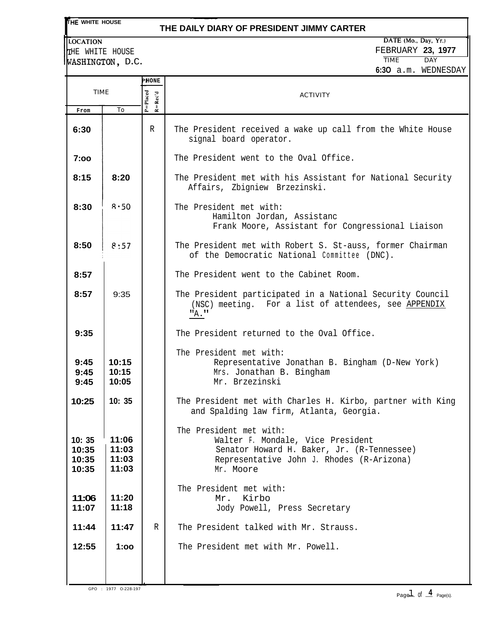**THE WHITE HOUSE** 

#### **THE DAILY DIARY OF PRESIDENT JIMMY CARTER**

**LOCATION** THE WHITE HOUSE WASHINGTON, D.C.

GPO : 1977 O-228-197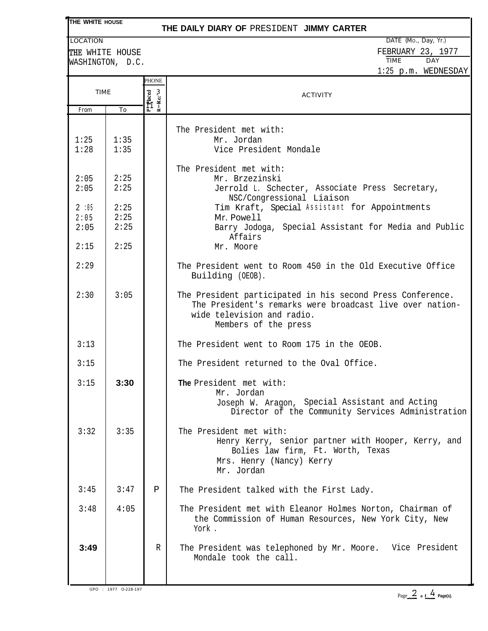# **THE WHITE HOUSE**

### **THE DAILY DIARY OF** PRESIDENT **JIMMY CARTER**

WASHINGTON, D.C.

LOCATION DATE (Mo., Day, Yr.) THE WHITE HOUSE THE MOUSE FEBRUARY 23, 1977 1:25 p.m. WEDNESDAY

|                              |                              | PHONE                                                                                                  |                                                                                                                                                                              |
|------------------------------|------------------------------|--------------------------------------------------------------------------------------------------------|------------------------------------------------------------------------------------------------------------------------------------------------------------------------------|
| From                         | TIME                         |                                                                                                        | <b>ACTIVITY</b>                                                                                                                                                              |
| 1:25<br>1:28                 | To<br>1:35<br>1:35           | $\mathbf{R} = \mathbf{R} \mathbf{c} \mathbf{c}' \boldsymbol{\omega}$<br>$P_{\square}^{\square}$ Placed | The President met with:<br>Mr. Jordan<br>Vice President Mondale                                                                                                              |
| 2:05<br>2:05                 | 2:25<br>2:25                 |                                                                                                        | The President met with:<br>Mr. Brzezinski<br>Jerrold L. Schecter, Associate Press Secretary,<br>NSC/Congressional Liaison                                                    |
| 2:05<br>2:05<br>2:05<br>2:15 | 2:25<br>2:25<br>2:25<br>2:25 |                                                                                                        | Tim Kraft, Special Assistant for Appointments<br>Mr. Powell<br>Barry Jodoga, Special Assistant for Media and Public<br>Affairs<br>Mr. Moore                                  |
| 2:29                         |                              |                                                                                                        | The President went to Room 450 in the Old Executive Office<br>Building (OEOB).                                                                                               |
| 2:30                         | 3:05                         |                                                                                                        | The President participated in his second Press Conference.<br>The President's remarks were broadcast live over nation-<br>wide television and radio.<br>Members of the press |
| 3:13                         |                              |                                                                                                        | The President went to Room 175 in the OEOB.                                                                                                                                  |
| 3:15                         |                              |                                                                                                        | The President returned to the Oval Office.                                                                                                                                   |
| 3:15                         | 3:30                         |                                                                                                        | The President met with:<br>Mr. Jordan<br>Joseph W. Aragon, Special Assistant and Acting<br>Director of the Community Services Administration                                 |
| 3:32                         | 3:35                         |                                                                                                        | The President met with:<br>Henry Kerry, senior partner with Hooper, Kerry, and<br>Bolies law firm, Ft. Worth, Texas<br>Mrs. Henry (Nancy) Kerry<br>Mr. Jordan                |
| 3:45                         | 3:47                         | Ρ                                                                                                      | The President talked with the First Lady.                                                                                                                                    |
| 3:48                         | 4:05                         |                                                                                                        | The President met with Eleanor Holmes Norton, Chairman of<br>the Commission of Human Resources, New York City, New<br>York .                                                 |
| 3:49                         |                              | R                                                                                                      | The President was telephoned by Mr. Moore. Vice President<br>Mondale took the call.                                                                                          |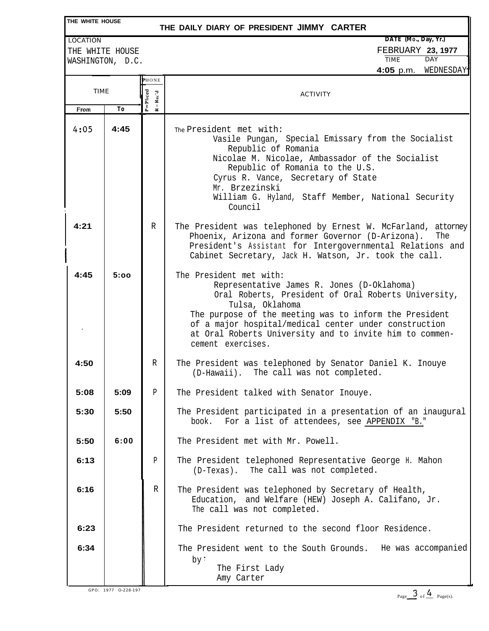| THE WHITE HOUSE<br>THE DAILY DIARY OF PRESIDENT JIMMY CARTER |                                     |                             |                                                                                                                                                                                                                                                                                                                                                    |  |  |  |  |
|--------------------------------------------------------------|-------------------------------------|-----------------------------|----------------------------------------------------------------------------------------------------------------------------------------------------------------------------------------------------------------------------------------------------------------------------------------------------------------------------------------------------|--|--|--|--|
| <b>LOCATION</b>                                              |                                     | DATE (Mo., Day, Yr.)        |                                                                                                                                                                                                                                                                                                                                                    |  |  |  |  |
|                                                              | THE WHITE HOUSE<br>WASHINGTON, D.C. |                             | FEBRUARY 23, 1977<br><b>TIME</b><br><b>DAY</b>                                                                                                                                                                                                                                                                                                     |  |  |  |  |
|                                                              |                                     |                             | WEDNESDAY<br>4:05 p.m.                                                                                                                                                                                                                                                                                                                             |  |  |  |  |
|                                                              |                                     | PHONE                       |                                                                                                                                                                                                                                                                                                                                                    |  |  |  |  |
| <b>TIME</b>                                                  |                                     | $P =$ Placed<br>$R = Rec'd$ | <b>ACTIVITY</b>                                                                                                                                                                                                                                                                                                                                    |  |  |  |  |
| From                                                         | Тo                                  |                             |                                                                                                                                                                                                                                                                                                                                                    |  |  |  |  |
| 4:05                                                         | 4:45                                |                             | The President met with:<br>Vasile Pungan, Special Emissary from the Socialist<br>Republic of Romania<br>Nicolae M. Nicolae, Ambassador of the Socialist<br>Republic of Romania to the U.S.<br>Cyrus R. Vance, Secretary of State<br>Mr. Brzezinski<br>William G. Hyland, Staff Member, National Security<br>Council                                |  |  |  |  |
| 4:21                                                         |                                     | R                           | The President was telephoned by Ernest W. McFarland, attorney<br>Phoenix, Arizona and former Governor (D-Arizona).<br>The<br>President's Assistant for Intergovernmental Relations and<br>Cabinet Secretary, Jack H. Watson, Jr. took the call.                                                                                                    |  |  |  |  |
| 4:45                                                         | 5:00                                |                             | The President met with:<br>Representative James R. Jones (D-Oklahoma)<br>Oral Roberts, President of Oral Roberts University,<br>Tulsa, Oklahoma<br>The purpose of the meeting was to inform the President<br>of a major hospital/medical center under construction<br>at Oral Roberts University and to invite him to commen-<br>cement exercises. |  |  |  |  |
| 4:50                                                         |                                     | R                           | The President was telephoned by Senator Daniel K. Inouye<br>(D-Hawaii). The call was not completed.                                                                                                                                                                                                                                                |  |  |  |  |
| 5:08                                                         | 5:09                                | $\, {\bf p}$                | The President talked with Senator Inouye.                                                                                                                                                                                                                                                                                                          |  |  |  |  |
| 5:30                                                         | 5:50                                |                             | The President participated in a presentation of an inaugural<br>For a list of attendees, see APPENDIX "B."<br>book.                                                                                                                                                                                                                                |  |  |  |  |
| 5:50                                                         | 6:00                                |                             | The President met with Mr. Powell.                                                                                                                                                                                                                                                                                                                 |  |  |  |  |
| 6:13                                                         |                                     | P                           | The President telephoned Representative George H. Mahon<br>The call was not completed.<br>$(D-Texas)$ .                                                                                                                                                                                                                                            |  |  |  |  |
| 6:16                                                         |                                     | R                           | The President was telephoned by Secretary of Health,<br>Education, and Welfare (HEW) Joseph A. Califano, Jr.<br>The call was not completed.                                                                                                                                                                                                        |  |  |  |  |
| 6:23                                                         |                                     |                             | The President returned to the second floor Residence.                                                                                                                                                                                                                                                                                              |  |  |  |  |
| 6:34                                                         |                                     |                             | The President went to the South Grounds. He was accompanied<br>by:<br>The First Lady<br>Amy Carter                                                                                                                                                                                                                                                 |  |  |  |  |

GPO: 1977 0-228-197